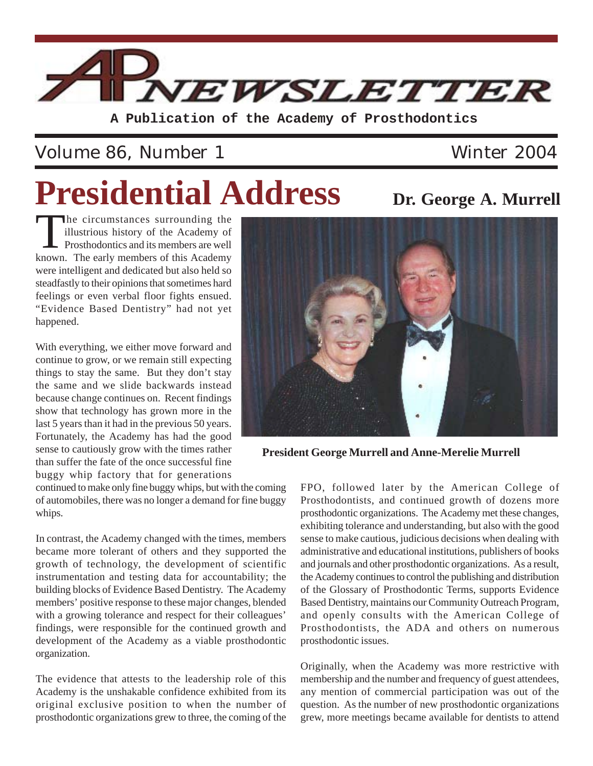

**A Publication of the Academy of Prosthodontics**

# Volume 86, Number 1 Winter 2004

# **Presidential Address** Dr. George A. Murrell

The circumstances surrounding the<br>illustrious history of the Academy of<br>Prosthodontics and its members are well illustrious history of the Academy of Prosthodontics and its members are well known. The early members of this Academy were intelligent and dedicated but also held so steadfastly to their opinions that sometimes hard feelings or even verbal floor fights ensued. "Evidence Based Dentistry" had not yet happened.

With everything, we either move forward and continue to grow, or we remain still expecting things to stay the same. But they don't stay the same and we slide backwards instead because change continues on. Recent findings show that technology has grown more in the last 5 years than it had in the previous 50 years. Fortunately, the Academy has had the good sense to cautiously grow with the times rather than suffer the fate of the once successful fine buggy whip factory that for generations

continued to make only fine buggy whips, but with the coming of automobiles, there was no longer a demand for fine buggy whips.

In contrast, the Academy changed with the times, members became more tolerant of others and they supported the growth of technology, the development of scientific instrumentation and testing data for accountability; the building blocks of Evidence Based Dentistry. The Academy members' positive response to these major changes, blended with a growing tolerance and respect for their colleagues' findings, were responsible for the continued growth and development of the Academy as a viable prosthodontic organization.

The evidence that attests to the leadership role of this Academy is the unshakable confidence exhibited from its original exclusive position to when the number of prosthodontic organizations grew to three, the coming of the



**President George Murrell and Anne-Merelie Murrell**

FPO, followed later by the American College of Prosthodontists, and continued growth of dozens more prosthodontic organizations. The Academy met these changes, exhibiting tolerance and understanding, but also with the good sense to make cautious, judicious decisions when dealing with administrative and educational institutions, publishers of books and journals and other prosthodontic organizations. As a result, the Academy continues to control the publishing and distribution of the Glossary of Prosthodontic Terms, supports Evidence Based Dentistry, maintains our Community Outreach Program, and openly consults with the American College of Prosthodontists, the ADA and others on numerous prosthodontic issues.

Originally, when the Academy was more restrictive with membership and the number and frequency of guest attendees, any mention of commercial participation was out of the question. As the number of new prosthodontic organizations grew, more meetings became available for dentists to attend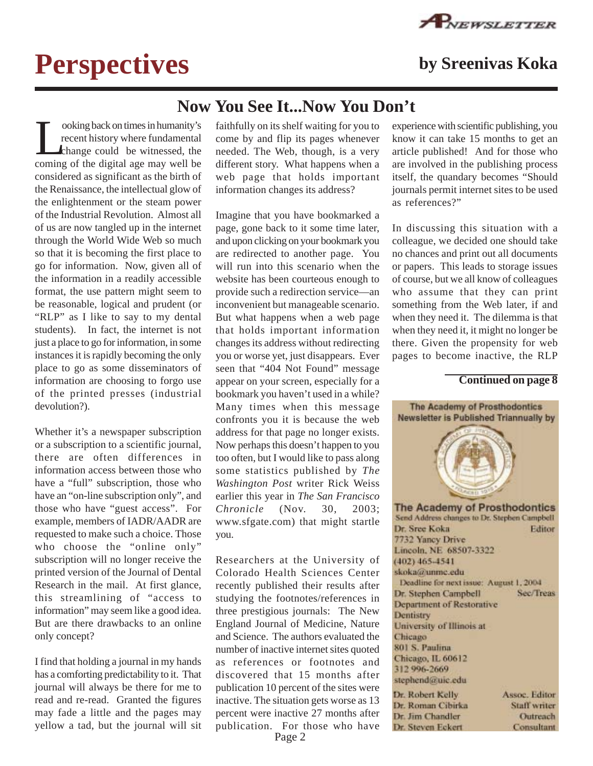

# **Perspectives by Sreenivas Koka**

# **Now You See It...Now You Don't**

ooking back on times in humanity's<br>recent history where fundamental<br>thange could be witnessed, the<br>coming of the digital are may well be recent history where fundamental  $\triangle$ hange could be witnessed, the coming of the digital age may well be considered as significant as the birth of the Renaissance, the intellectual glow of the enlightenment or the steam power of the Industrial Revolution. Almost all of us are now tangled up in the internet through the World Wide Web so much so that it is becoming the first place to go for information. Now, given all of the information in a readily accessible format, the use pattern might seem to be reasonable, logical and prudent (or "RLP" as I like to say to my dental students). In fact, the internet is not just a place to go for information, in some instances it is rapidly becoming the only place to go as some disseminators of information are choosing to forgo use of the printed presses (industrial devolution?).

Whether it's a newspaper subscription or a subscription to a scientific journal, there are often differences in information access between those who have a "full" subscription, those who have an "on-line subscription only", and those who have "guest access". For example, members of IADR/AADR are requested to make such a choice. Those who choose the "online only" subscription will no longer receive the printed version of the Journal of Dental Research in the mail. At first glance, this streamlining of "access to information" may seem like a good idea. But are there drawbacks to an online only concept?

I find that holding a journal in my hands has a comforting predictability to it. That journal will always be there for me to read and re-read. Granted the figures may fade a little and the pages may yellow a tad, but the journal will sit

faithfully on its shelf waiting for you to come by and flip its pages whenever needed. The Web, though, is a very different story. What happens when a web page that holds important information changes its address?

Imagine that you have bookmarked a page, gone back to it some time later, and upon clicking on your bookmark you are redirected to another page. You will run into this scenario when the website has been courteous enough to provide such a redirection service—an inconvenient but manageable scenario. But what happens when a web page that holds important information changes its address without redirecting you or worse yet, just disappears. Ever seen that "404 Not Found" message appear on your screen, especially for a bookmark you haven't used in a while? Many times when this message confronts you it is because the web address for that page no longer exists. Now perhaps this doesn't happen to you too often, but I would like to pass along some statistics published by *The Washington Post* writer Rick Weiss earlier this year in *The San Francisco Chronicle* (Nov. 30, 2003; www.sfgate.com) that might startle you.

Page 2 Researchers at the University of Colorado Health Sciences Center recently published their results after studying the footnotes/references in three prestigious journals: The New England Journal of Medicine, Nature and Science. The authors evaluated the number of inactive internet sites quoted as references or footnotes and discovered that 15 months after publication 10 percent of the sites were inactive. The situation gets worse as 13 percent were inactive 27 months after publication. For those who have

experience with scientific publishing, you know it can take 15 months to get an article published! And for those who are involved in the publishing process itself, the quandary becomes "Should journals permit internet sites to be used as references?"

In discussing this situation with a colleague, we decided one should take no chances and print out all documents or papers. This leads to storage issues of course, but we all know of colleagues who assume that they can print something from the Web later, if and when they need it. The dilemma is that when they need it, it might no longer be there. Given the propensity for web pages to become inactive, the RLP

#### **Continued on page 8**

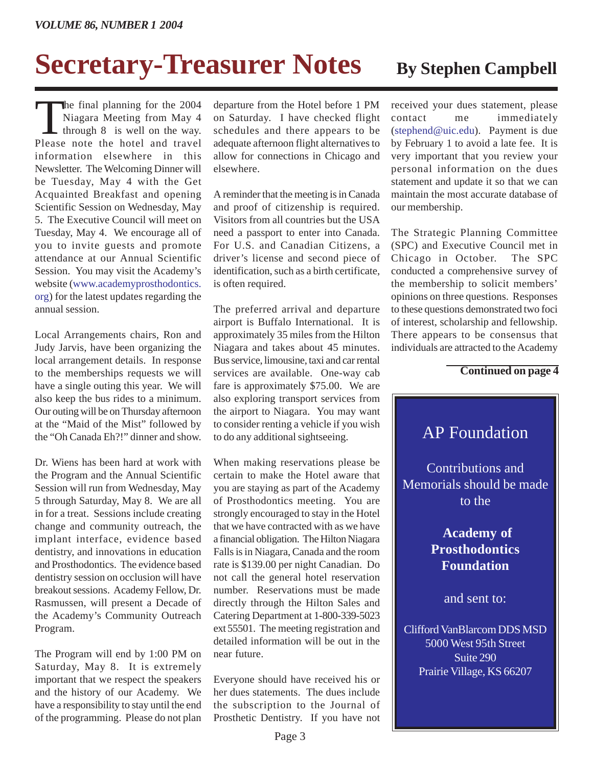# **Secretary-Treasurer Notes** By Stephen Campbell

The final planning for the 2004<br>Niagara Meeting from May 4<br>through 8 is well on the way. Niagara Meeting from May 4 Please note the hotel and travel information elsewhere in this Newsletter. The Welcoming Dinner will be Tuesday, May 4 with the Get Acquainted Breakfast and opening Scientific Session on Wednesday, May 5. The Executive Council will meet on Tuesday, May 4. We encourage all of you to invite guests and promote attendance at our Annual Scientific Session. You may visit the Academy's website (www.academyprosthodontics. org) for the latest updates regarding the annual session.

Local Arrangements chairs, Ron and Judy Jarvis, have been organizing the local arrangement details. In response to the memberships requests we will have a single outing this year. We will also keep the bus rides to a minimum. Our outing will be on Thursday afternoon at the "Maid of the Mist" followed by the "Oh Canada Eh?!" dinner and show.

Dr. Wiens has been hard at work with the Program and the Annual Scientific Session will run from Wednesday, May 5 through Saturday, May 8. We are all in for a treat. Sessions include creating change and community outreach, the implant interface, evidence based dentistry, and innovations in education and Prosthodontics. The evidence based dentistry session on occlusion will have breakout sessions. Academy Fellow, Dr. Rasmussen, will present a Decade of the Academy's Community Outreach Program.

The Program will end by 1:00 PM on Saturday, May 8. It is extremely important that we respect the speakers and the history of our Academy. We have a responsibility to stay until the end of the programming. Please do not plan

departure from the Hotel before 1 PM on Saturday. I have checked flight schedules and there appears to be adequate afternoon flight alternatives to allow for connections in Chicago and elsewhere.

A reminder that the meeting is in Canada and proof of citizenship is required. Visitors from all countries but the USA need a passport to enter into Canada. For U.S. and Canadian Citizens, a driver's license and second piece of identification, such as a birth certificate, is often required.

The preferred arrival and departure airport is Buffalo International. It is approximately 35 miles from the Hilton Niagara and takes about 45 minutes. Bus service, limousine, taxi and car rental services are available. One-way cab fare is approximately \$75.00. We are also exploring transport services from the airport to Niagara. You may want to consider renting a vehicle if you wish to do any additional sightseeing.

When making reservations please be certain to make the Hotel aware that you are staying as part of the Academy of Prosthodontics meeting. You are strongly encouraged to stay in the Hotel that we have contracted with as we have a financial obligation. The Hilton Niagara Falls is in Niagara, Canada and the room rate is \$139.00 per night Canadian. Do not call the general hotel reservation number. Reservations must be made directly through the Hilton Sales and Catering Department at 1-800-339-5023 ext 55501. The meeting registration and detailed information will be out in the near future.

Everyone should have received his or her dues statements. The dues include the subscription to the Journal of Prosthetic Dentistry. If you have not

received your dues statement, please contact me immediately (stephend@uic.edu). Payment is due by February 1 to avoid a late fee. It is very important that you review your personal information on the dues statement and update it so that we can maintain the most accurate database of our membership.

The Strategic Planning Committee (SPC) and Executive Council met in Chicago in October. The SPC conducted a comprehensive survey of the membership to solicit members' opinions on three questions. Responses to these questions demonstrated two foci of interest, scholarship and fellowship. There appears to be consensus that individuals are attracted to the Academy

#### **Continued on page 4**



Suite 290 Prairie Village, KS 66207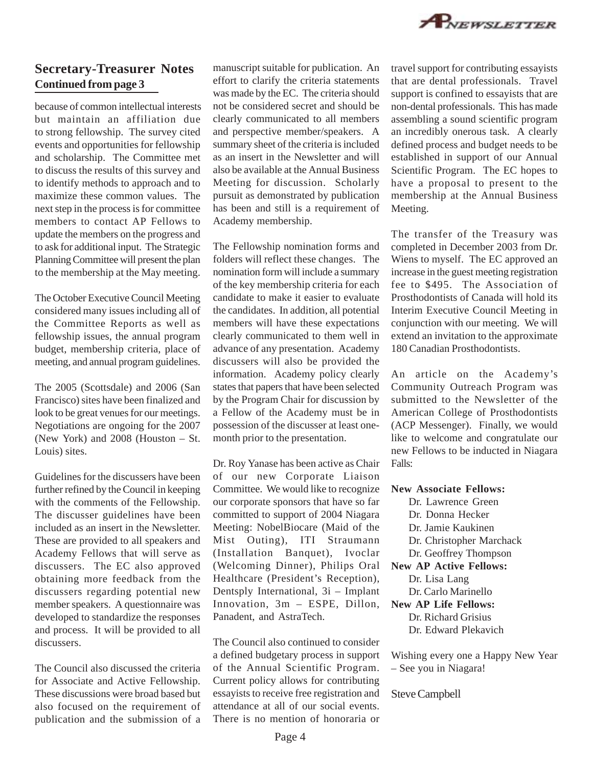

### **Continued from page 3 Secretary-Treasurer Notes**

because of common intellectual interests but maintain an affiliation due to strong fellowship. The survey cited events and opportunities for fellowship and scholarship. The Committee met to discuss the results of this survey and to identify methods to approach and to maximize these common values. The next step in the process is for committee members to contact AP Fellows to update the members on the progress and to ask for additional input. The Strategic Planning Committee will present the plan to the membership at the May meeting.

The October Executive Council Meeting considered many issues including all of the Committee Reports as well as fellowship issues, the annual program budget, membership criteria, place of meeting, and annual program guidelines.

The 2005 (Scottsdale) and 2006 (San Francisco) sites have been finalized and look to be great venues for our meetings. Negotiations are ongoing for the 2007 (New York) and 2008 (Houston – St. Louis) sites.

Guidelines for the discussers have been further refined by the Council in keeping with the comments of the Fellowship. The discusser guidelines have been included as an insert in the Newsletter. These are provided to all speakers and Academy Fellows that will serve as discussers. The EC also approved obtaining more feedback from the discussers regarding potential new member speakers. A questionnaire was developed to standardize the responses and process. It will be provided to all discussers.

The Council also discussed the criteria for Associate and Active Fellowship. These discussions were broad based but also focused on the requirement of publication and the submission of a

manuscript suitable for publication. An effort to clarify the criteria statements was made by the EC. The criteria should not be considered secret and should be clearly communicated to all members and perspective member/speakers. A summary sheet of the criteria is included as an insert in the Newsletter and will also be available at the Annual Business Meeting for discussion. Scholarly pursuit as demonstrated by publication has been and still is a requirement of Academy membership.

The Fellowship nomination forms and folders will reflect these changes. The nomination form will include a summary of the key membership criteria for each candidate to make it easier to evaluate the candidates. In addition, all potential members will have these expectations clearly communicated to them well in advance of any presentation. Academy discussers will also be provided the information. Academy policy clearly states that papers that have been selected by the Program Chair for discussion by a Fellow of the Academy must be in possession of the discusser at least onemonth prior to the presentation.

Dr. Roy Yanase has been active as Chair of our new Corporate Liaison Committee. We would like to recognize our corporate sponsors that have so far committed to support of 2004 Niagara Meeting: NobelBiocare (Maid of the Mist Outing), ITI Straumann (Installation Banquet), Ivoclar (Welcoming Dinner), Philips Oral Healthcare (President's Reception), Dentsply International, 3i – Implant Innovation, 3m – ESPE, Dillon, Panadent, and AstraTech.

The Council also continued to consider a defined budgetary process in support of the Annual Scientific Program. Current policy allows for contributing essayists to receive free registration and attendance at all of our social events. There is no mention of honoraria or travel support for contributing essayists that are dental professionals. Travel support is confined to essayists that are non-dental professionals. This has made assembling a sound scientific program an incredibly onerous task. A clearly defined process and budget needs to be established in support of our Annual Scientific Program. The EC hopes to have a proposal to present to the membership at the Annual Business Meeting.

The transfer of the Treasury was completed in December 2003 from Dr. Wiens to myself. The EC approved an increase in the guest meeting registration fee to \$495. The Association of Prosthodontists of Canada will hold its Interim Executive Council Meeting in conjunction with our meeting. We will extend an invitation to the approximate 180 Canadian Prosthodontists.

An article on the Academy's Community Outreach Program was submitted to the Newsletter of the American College of Prosthodontists (ACP Messenger). Finally, we would like to welcome and congratulate our new Fellows to be inducted in Niagara Falls:

#### **New Associate Fellows:**

Dr. Lawrence Green Dr. Donna Hecker Dr. Jamie Kaukinen Dr. Christopher Marchack Dr. Geoffrey Thompson **New AP Active Fellows:** Dr. Lisa Lang Dr. Carlo Marinello **New AP Life Fellows:** Dr. Richard Grisius Dr. Edward Plekavich

Wishing every one a Happy New Year – See you in Niagara!

Steve Campbell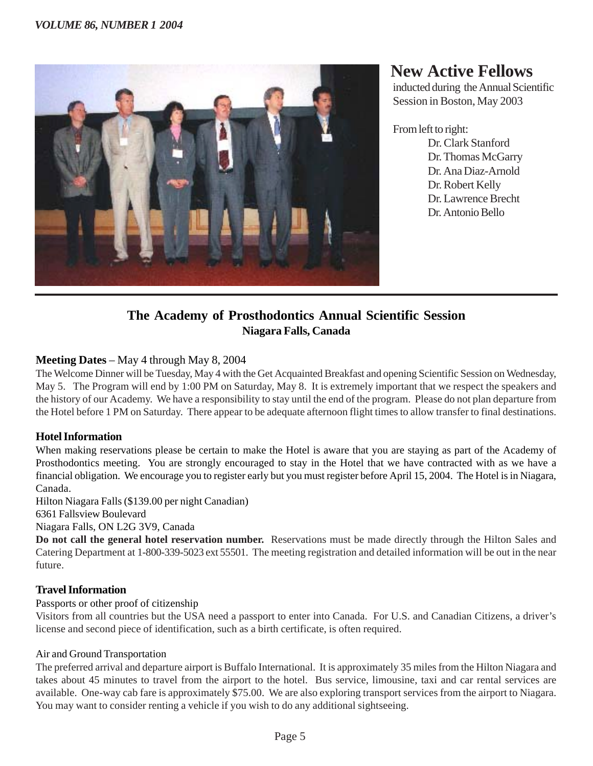

# **New Active Fellows**

inducted during the Annual Scientific Session in Boston, May 2003

From left to right:

Dr. Clark Stanford Dr. Thomas McGarry Dr. Ana Diaz-Arnold Dr. Robert Kelly Dr. Lawrence Brecht Dr. Antonio Bello

## **The Academy of Prosthodontics Annual Scientific Session Niagara Falls, Canada**

### **Meeting Dates** – May 4 through May 8, 2004

The Welcome Dinner will be Tuesday, May 4 with the Get Acquainted Breakfast and opening Scientific Session on Wednesday, May 5. The Program will end by 1:00 PM on Saturday, May 8. It is extremely important that we respect the speakers and the history of our Academy. We have a responsibility to stay until the end of the program. Please do not plan departure from the Hotel before 1 PM on Saturday. There appear to be adequate afternoon flight times to allow transfer to final destinations.

#### **Hotel Information**

When making reservations please be certain to make the Hotel is aware that you are staying as part of the Academy of Prosthodontics meeting. You are strongly encouraged to stay in the Hotel that we have contracted with as we have a financial obligation. We encourage you to register early but you must register before April 15, 2004. The Hotel is in Niagara, Canada.

Hilton Niagara Falls (\$139.00 per night Canadian)

6361 Fallsview Boulevard

Niagara Falls, ON L2G 3V9, Canada

**Do not call the general hotel reservation number.** Reservations must be made directly through the Hilton Sales and Catering Department at 1-800-339-5023 ext 55501. The meeting registration and detailed information will be out in the near future.

#### **Travel Information**

Passports or other proof of citizenship

Visitors from all countries but the USA need a passport to enter into Canada. For U.S. and Canadian Citizens, a driver's license and second piece of identification, such as a birth certificate, is often required.

#### Air and Ground Transportation

The preferred arrival and departure airport is Buffalo International. It is approximately 35 miles from the Hilton Niagara and takes about 45 minutes to travel from the airport to the hotel. Bus service, limousine, taxi and car rental services are available. One-way cab fare is approximately \$75.00. We are also exploring transport services from the airport to Niagara. You may want to consider renting a vehicle if you wish to do any additional sightseeing.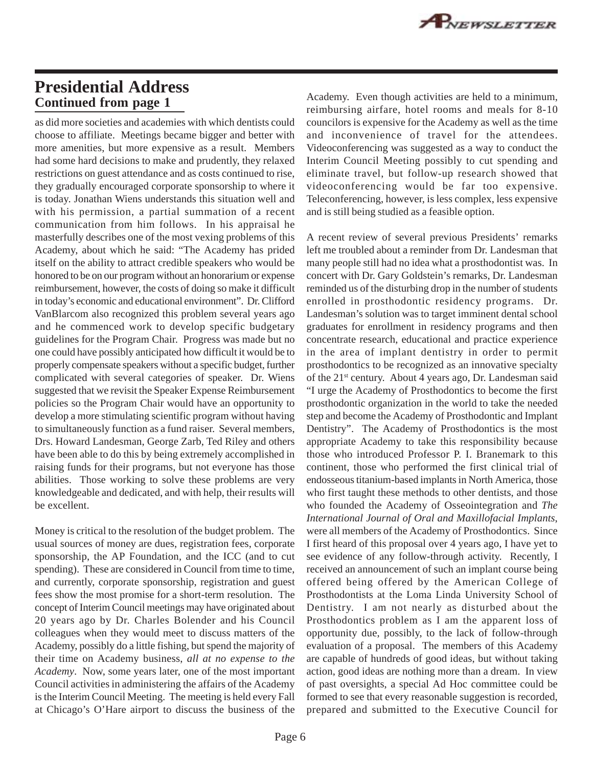## **Continued from page 1 Presidential Address**

as did more societies and academies with which dentists could choose to affiliate. Meetings became bigger and better with more amenities, but more expensive as a result. Members had some hard decisions to make and prudently, they relaxed restrictions on guest attendance and as costs continued to rise, they gradually encouraged corporate sponsorship to where it is today. Jonathan Wiens understands this situation well and with his permission, a partial summation of a recent communication from him follows. In his appraisal he masterfully describes one of the most vexing problems of this Academy, about which he said: "The Academy has prided itself on the ability to attract credible speakers who would be honored to be on our program without an honorarium or expense reimbursement, however, the costs of doing so make it difficult in today's economic and educational environment". Dr. Clifford VanBlarcom also recognized this problem several years ago and he commenced work to develop specific budgetary guidelines for the Program Chair. Progress was made but no one could have possibly anticipated how difficult it would be to properly compensate speakers without a specific budget, further complicated with several categories of speaker. Dr. Wiens suggested that we revisit the Speaker Expense Reimbursement policies so the Program Chair would have an opportunity to develop a more stimulating scientific program without having to simultaneously function as a fund raiser. Several members, Drs. Howard Landesman, George Zarb, Ted Riley and others have been able to do this by being extremely accomplished in raising funds for their programs, but not everyone has those abilities. Those working to solve these problems are very knowledgeable and dedicated, and with help, their results will be excellent.

Money is critical to the resolution of the budget problem. The usual sources of money are dues, registration fees, corporate sponsorship, the AP Foundation, and the ICC (and to cut spending). These are considered in Council from time to time, and currently, corporate sponsorship, registration and guest fees show the most promise for a short-term resolution. The concept of Interim Council meetings may have originated about 20 years ago by Dr. Charles Bolender and his Council colleagues when they would meet to discuss matters of the Academy, possibly do a little fishing, but spend the majority of their time on Academy business, *all at no expense to the Academy*. Now, some years later, one of the most important Council activities in administering the affairs of the Academy is the Interim Council Meeting. The meeting is held every Fall at Chicago's O'Hare airport to discuss the business of the Academy. Even though activities are held to a minimum, reimbursing airfare, hotel rooms and meals for 8-10 councilors is expensive for the Academy as well as the time and inconvenience of travel for the attendees. Videoconferencing was suggested as a way to conduct the Interim Council Meeting possibly to cut spending and eliminate travel, but follow-up research showed that videoconferencing would be far too expensive. Teleconferencing, however, is less complex, less expensive and is still being studied as a feasible option.

A recent review of several previous Presidents' remarks left me troubled about a reminder from Dr. Landesman that many people still had no idea what a prosthodontist was. In concert with Dr. Gary Goldstein's remarks, Dr. Landesman reminded us of the disturbing drop in the number of students enrolled in prosthodontic residency programs. Dr. Landesman's solution was to target imminent dental school graduates for enrollment in residency programs and then concentrate research, educational and practice experience in the area of implant dentistry in order to permit prosthodontics to be recognized as an innovative specialty of the 21st century. About 4 years ago, Dr. Landesman said "I urge the Academy of Prosthodontics to become the first prosthodontic organization in the world to take the needed step and become the Academy of Prosthodontic and Implant Dentistry". The Academy of Prosthodontics is the most appropriate Academy to take this responsibility because those who introduced Professor P. I. Branemark to this continent, those who performed the first clinical trial of endosseous titanium-based implants in North America, those who first taught these methods to other dentists, and those who founded the Academy of Osseointegration and *The International Journal of Oral and Maxillofacial Implants*, were all members of the Academy of Prosthodontics. Since I first heard of this proposal over 4 years ago, I have yet to see evidence of any follow-through activity. Recently, I received an announcement of such an implant course being offered being offered by the American College of Prosthodontists at the Loma Linda University School of Dentistry. I am not nearly as disturbed about the Prosthodontics problem as I am the apparent loss of opportunity due, possibly, to the lack of follow-through evaluation of a proposal. The members of this Academy are capable of hundreds of good ideas, but without taking action, good ideas are nothing more than a dream. In view of past oversights, a special Ad Hoc committee could be formed to see that every reasonable suggestion is recorded, prepared and submitted to the Executive Council for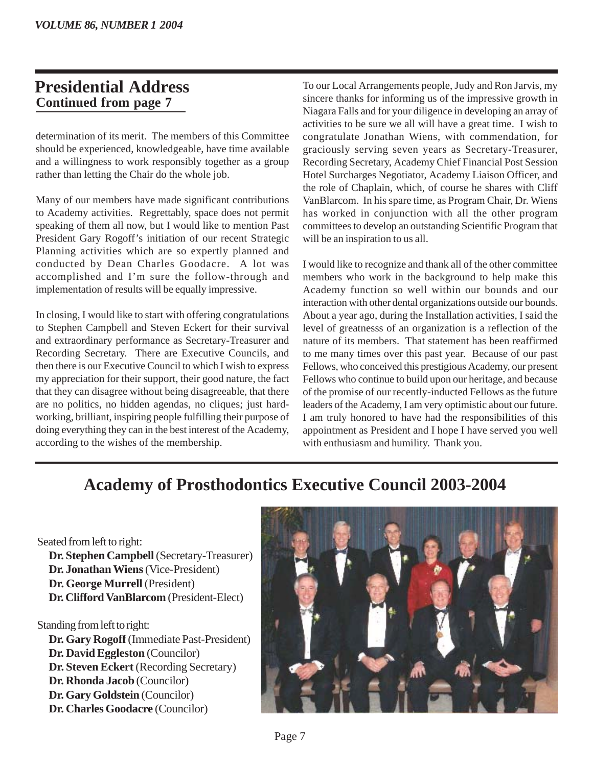## **Continued from page 7 Presidential Address**

determination of its merit. The members of this Committee should be experienced, knowledgeable, have time available and a willingness to work responsibly together as a group rather than letting the Chair do the whole job.

Many of our members have made significant contributions to Academy activities. Regrettably, space does not permit speaking of them all now, but I would like to mention Past President Gary Rogoff's initiation of our recent Strategic Planning activities which are so expertly planned and conducted by Dean Charles Goodacre. A lot was accomplished and I'm sure the follow-through and implementation of results will be equally impressive.

In closing, I would like to start with offering congratulations to Stephen Campbell and Steven Eckert for their survival and extraordinary performance as Secretary-Treasurer and Recording Secretary. There are Executive Councils, and then there is our Executive Council to which I wish to express my appreciation for their support, their good nature, the fact that they can disagree without being disagreeable, that there are no politics, no hidden agendas, no cliques; just hardworking, brilliant, inspiring people fulfilling their purpose of doing everything they can in the best interest of the Academy, according to the wishes of the membership.

To our Local Arrangements people, Judy and Ron Jarvis, my sincere thanks for informing us of the impressive growth in Niagara Falls and for your diligence in developing an array of activities to be sure we all will have a great time. I wish to congratulate Jonathan Wiens, with commendation, for graciously serving seven years as Secretary-Treasurer, Recording Secretary, Academy Chief Financial Post Session Hotel Surcharges Negotiator, Academy Liaison Officer, and the role of Chaplain, which, of course he shares with Cliff VanBlarcom. In his spare time, as Program Chair, Dr. Wiens has worked in conjunction with all the other program committees to develop an outstanding Scientific Program that will be an inspiration to us all.

I would like to recognize and thank all of the other committee members who work in the background to help make this Academy function so well within our bounds and our interaction with other dental organizations outside our bounds. About a year ago, during the Installation activities, I said the level of greatnesss of an organization is a reflection of the nature of its members. That statement has been reaffirmed to me many times over this past year. Because of our past Fellows, who conceived this prestigious Academy, our present Fellows who continue to build upon our heritage, and because of the promise of our recently-inducted Fellows as the future leaders of the Academy, I am very optimistic about our future. I am truly honored to have had the responsibilities of this appointment as President and I hope I have served you well with enthusiasm and humility. Thank you.

# **Academy of Prosthodontics Executive Council 2003-2004**

Seated from left to right:

**Dr. Stephen Campbell** (Secretary-Treasurer) **Dr. Jonathan Wiens** (Vice-President) **Dr. George Murrell** (President) **Dr. Clifford VanBlarcom** (President-Elect)

Standing from left to right:

**Dr. Gary Rogoff** (Immediate Past-President) **Dr. David Eggleston** (Councilor) **Dr. Steven Eckert** (Recording Secretary) **Dr. Rhonda Jacob** (Councilor) **Dr. Gary Goldstein** (Councilor) **Dr. Charles Goodacre** (Councilor)